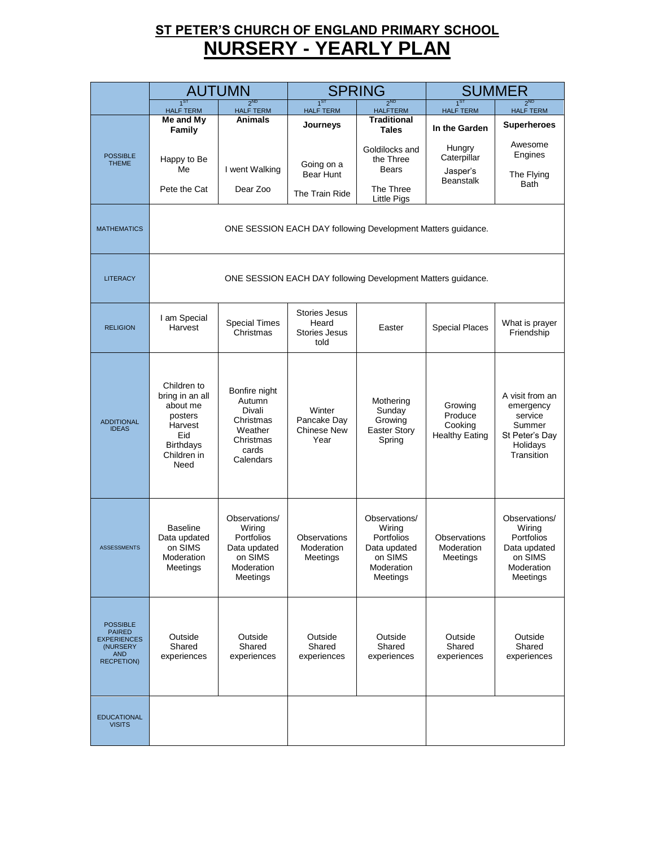### **ST PETER'S CHURCH OF ENGLAND PRIMARY SCHOOL NURSERY - YEARLY PLAN**

|                                                                                                       | <b>AUTUMN</b>                                                                                                      |                                                                                              |                                                        | <b>SPRING</b>                                                                                  |                                                        | <b>SUMMER</b>                                                                                 |  |  |  |
|-------------------------------------------------------------------------------------------------------|--------------------------------------------------------------------------------------------------------------------|----------------------------------------------------------------------------------------------|--------------------------------------------------------|------------------------------------------------------------------------------------------------|--------------------------------------------------------|-----------------------------------------------------------------------------------------------|--|--|--|
|                                                                                                       | 1 <sub>ST</sub><br><b>HALF TERM</b>                                                                                | 2 <sub>ND</sub><br><b>HALF TERM</b>                                                          | 1 <sup>ST</sup><br><b>HALF TERM</b>                    | 2 <sub>ND</sub><br><b>HALFTERM</b>                                                             | 1 <sub>ST</sub><br><b>HALF TERM</b>                    | 2 <sub>ND</sub><br><b>HALF TERM</b>                                                           |  |  |  |
|                                                                                                       | Me and My                                                                                                          | <b>Animals</b>                                                                               | Journeys                                               | <b>Traditional</b>                                                                             | In the Garden                                          | <b>Superheroes</b>                                                                            |  |  |  |
| <b>POSSIBLE</b><br><b>THEME</b>                                                                       | Family<br>Happy to Be<br>Me<br>Pete the Cat                                                                        | I went Walking<br>Dear Zoo                                                                   | Going on a<br>Bear Hunt<br>The Train Ride              | <b>Tales</b><br>Goldilocks and<br>the Three<br><b>Bears</b><br>The Three<br><b>Little Pigs</b> | Hungry<br>Caterpillar<br>Jasper's<br><b>Beanstalk</b>  | Awesome<br>Engines<br>The Flying<br>Bath                                                      |  |  |  |
| <b>MATHEMATICS</b>                                                                                    |                                                                                                                    | ONE SESSION EACH DAY following Development Matters guidance.                                 |                                                        |                                                                                                |                                                        |                                                                                               |  |  |  |
| <b>LITERACY</b>                                                                                       |                                                                                                                    |                                                                                              |                                                        | ONE SESSION EACH DAY following Development Matters guidance.                                   |                                                        |                                                                                               |  |  |  |
| <b>RELIGION</b>                                                                                       | I am Special<br>Harvest                                                                                            | <b>Special Times</b><br>Christmas                                                            | Stories Jesus<br>Heard<br><b>Stories Jesus</b><br>told | Easter                                                                                         | <b>Special Places</b>                                  | What is prayer<br>Friendship                                                                  |  |  |  |
| <b>ADDITIONAL</b><br><b>IDEAS</b>                                                                     | Children to<br>bring in an all<br>about me<br>posters<br>Harvest<br>Eid<br><b>Birthdays</b><br>Children in<br>Need | Bonfire night<br>Autumn<br>Divali<br>Christmas<br>Weather<br>Christmas<br>cards<br>Calendars | Winter<br>Pancake Day<br><b>Chinese New</b><br>Year    | Mothering<br>Sunday<br>Growing<br><b>Easter Story</b><br>Spring                                | Growing<br>Produce<br>Cooking<br><b>Healthy Eating</b> | A visit from an<br>emergency<br>service<br>Summer<br>St Peter's Day<br>Holidays<br>Transition |  |  |  |
| <b>ASSESSMENTS</b>                                                                                    | <b>Baseline</b><br>Data updated<br>on SIMS<br>Moderation<br>Meetings                                               | Observations/<br>Wiring<br>Portfolios<br>Data updated<br>on SIMS<br>Moderation<br>Meetings   | Observations<br>Moderation<br>Meetings                 | Observations/<br>Wiring<br>Portfolios<br>Data updated<br>on SIMS<br>Moderation<br>Meetings     | Observations<br>Moderation<br>Meetings                 | Observations/<br>Wiring<br>Portfolios<br>Data updated<br>on SIMS<br>Moderation<br>Meetings    |  |  |  |
| <b>POSSIBLE</b><br><b>PAIRED</b><br><b>EXPERIENCES</b><br>(NURSERY<br><b>AND</b><br><b>RECPETION)</b> | Outside<br>Shared<br>experiences                                                                                   | Outside<br>Shared<br>experiences                                                             | Outside<br>Shared<br>experiences                       | Outside<br>Shared<br>experiences                                                               | Outside<br>Shared<br>experiences                       | Outside<br>Shared<br>experiences                                                              |  |  |  |
| <b>EDUCATIONAL</b><br><b>VISITS</b>                                                                   |                                                                                                                    |                                                                                              |                                                        |                                                                                                |                                                        |                                                                                               |  |  |  |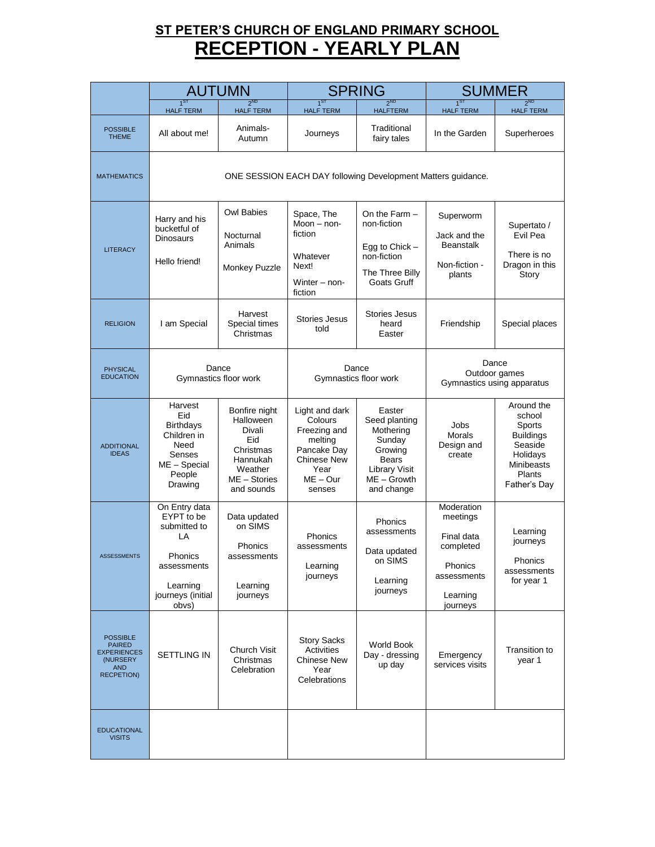### **ST PETER'S CHURCH OF ENGLAND PRIMARY SCHOOL RECEPTION - YEARLY PLAN**

|                                                                                                       | <b>AUTUMN</b>                                                                                                         |                                                                                                               |                                                                                                                           | <b>SPRING</b><br><b>SUMMER</b>                                                                                          |                                                                                                     |                                                                                                                   |
|-------------------------------------------------------------------------------------------------------|-----------------------------------------------------------------------------------------------------------------------|---------------------------------------------------------------------------------------------------------------|---------------------------------------------------------------------------------------------------------------------------|-------------------------------------------------------------------------------------------------------------------------|-----------------------------------------------------------------------------------------------------|-------------------------------------------------------------------------------------------------------------------|
|                                                                                                       | $1^{ST}$<br><b>HALF TERM</b>                                                                                          | 2 <sup>ND</sup><br><b>HALF TERM</b>                                                                           | $1^{ST}$<br><b>HALF TERM</b>                                                                                              | 2 <sub>ND</sub><br><b>HALFTERM</b>                                                                                      | $1^{ST}$<br><b>HALF TERM</b>                                                                        | 2 <sup>ND</sup><br><b>HALF TERM</b>                                                                               |
| <b>POSSIBLE</b><br><b>THEME</b>                                                                       | All about me!                                                                                                         | Animals-<br>Autumn                                                                                            | Journeys                                                                                                                  | Traditional<br>fairy tales                                                                                              | In the Garden                                                                                       | Superheroes                                                                                                       |
| <b>MATHEMATICS</b>                                                                                    |                                                                                                                       |                                                                                                               |                                                                                                                           | ONE SESSION EACH DAY following Development Matters guidance.                                                            |                                                                                                     |                                                                                                                   |
| <b>LITERACY</b>                                                                                       | Harry and his<br>bucketful of<br><b>Dinosaurs</b><br>Hello friend!                                                    | Owl Babies<br>Nocturnal<br>Animals<br>Monkey Puzzle                                                           | Space, The<br>$Moon - non-$<br>fiction<br>Whatever<br>Next!<br>Winter $-$ non-<br>fiction                                 | On the Farm $-$<br>non-fiction<br>Egg to Chick $-$<br>non-fiction<br>The Three Billy<br>Goats Gruff                     | Superworm<br>Jack and the<br><b>Beanstalk</b><br>Non-fiction -<br>plants                            | Supertato /<br>Evil Pea<br>There is no<br>Dragon in this<br>Story                                                 |
| <b>RELIGION</b>                                                                                       | I am Special                                                                                                          | Harvest<br>Special times<br>Christmas                                                                         | <b>Stories Jesus</b><br>told                                                                                              | Stories Jesus<br>heard<br>Easter                                                                                        | Friendship                                                                                          | Special places                                                                                                    |
| <b>PHYSICAL</b><br><b>EDUCATION</b>                                                                   | Dance<br>Gymnastics floor work                                                                                        |                                                                                                               | Dance<br>Gymnastics floor work                                                                                            |                                                                                                                         | Dance<br>Outdoor games<br>Gymnastics using apparatus                                                |                                                                                                                   |
| <b>ADDITIONAL</b><br><b>IDEAS</b>                                                                     | Harvest<br>Eid<br><b>Birthdays</b><br>Children in<br>Need<br>Senses<br>ME - Special<br>People<br>Drawing              | Bonfire night<br>Halloween<br>Divali<br>Eid<br>Christmas<br>Hannukah<br>Weather<br>ME - Stories<br>and sounds | Light and dark<br>Colours<br>Freezing and<br>melting<br>Pancake Day<br><b>Chinese New</b><br>Year<br>$ME - Our$<br>senses | Easter<br>Seed planting<br>Mothering<br>Sunday<br>Growing<br>Bears<br><b>Library Visit</b><br>ME - Growth<br>and change | Jobs<br>Morals<br>Design and<br>create                                                              | Around the<br>school<br>Sports<br><b>Buildings</b><br>Seaside<br>Holidays<br>Minibeasts<br>Plants<br>Father's Day |
| <b>ASSESSMENTS</b>                                                                                    | On Entry data<br>EYPT to be<br>submitted to<br>LA<br>Phonics<br>assessments<br>Learning<br>journeys (initial<br>obvs) | Data updated<br>on SIMS<br>Phonics<br>assessments<br>Learning<br>journeys                                     | Phonics<br>assessments<br>Learning<br>journeys                                                                            | <b>Phonics</b><br>assessments<br>Data updated<br>on SIMS<br>Learning<br>journeys                                        | Moderation<br>meetings<br>Final data<br>completed<br>Phonics<br>assessments<br>Learning<br>journeys | Learning<br>journeys<br>Phonics<br>assessments<br>for year 1                                                      |
| <b>POSSIBLE</b><br><b>PAIRED</b><br><b>EXPERIENCES</b><br>(NURSERY<br><b>AND</b><br><b>RECPETION)</b> | SETTLING IN                                                                                                           | Church Visit<br>Christmas<br>Celebration                                                                      | <b>Story Sacks</b><br>Activities<br>Chinese New<br>Year<br>Celebrations                                                   | World Book<br>Day - dressing<br>up day                                                                                  | Emergency<br>services visits                                                                        | Transition to<br>year 1                                                                                           |
| <b>EDUCATIONAL</b><br><b>VISITS</b>                                                                   |                                                                                                                       |                                                                                                               |                                                                                                                           |                                                                                                                         |                                                                                                     |                                                                                                                   |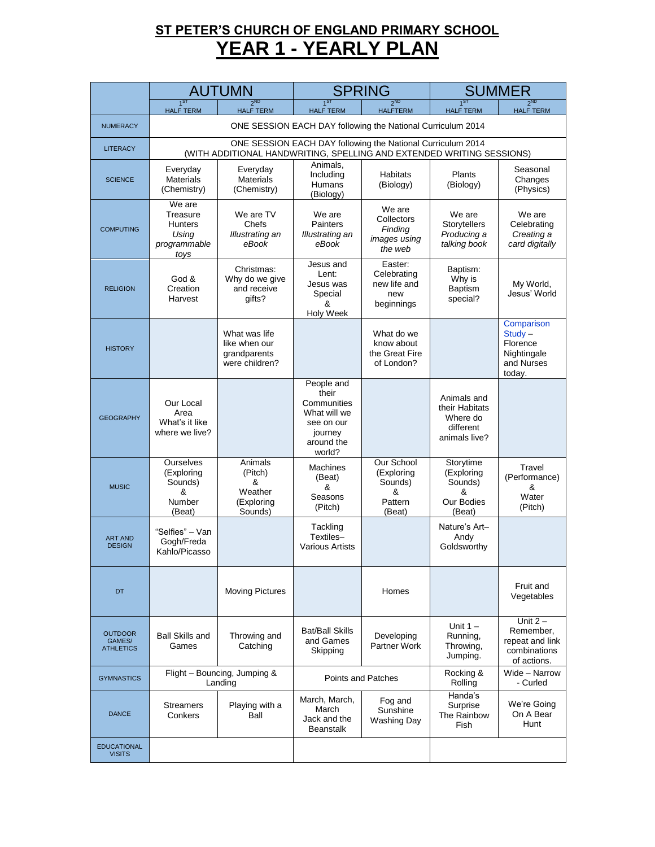# **ST PETER'S CHURCH OF ENGLAND PRIMARY SCHOOL YEAR 1 - YEARLY PLAN**

|                                              | <b>AUTUMN</b>                                                                                                                        |                                                                  | <b>SPRING</b>                                                                                       |                                                               | <b>SUMMER</b>                                                           |                                                                            |  |
|----------------------------------------------|--------------------------------------------------------------------------------------------------------------------------------------|------------------------------------------------------------------|-----------------------------------------------------------------------------------------------------|---------------------------------------------------------------|-------------------------------------------------------------------------|----------------------------------------------------------------------------|--|
|                                              | 1 <sup>ST</sup><br><b>HALF TERM</b>                                                                                                  | 2 <sub>ND</sub><br><b>HALF TERM</b>                              | $1^{ST}$<br><b>HALF TERM</b>                                                                        | <b>2ND</b><br><b>HALFTERM</b>                                 | 1 <sub>ST</sub><br><b>HALF TERM</b>                                     | 2 <sub>ND</sub><br><b>HALF TERM</b>                                        |  |
| <b>NUMERACY</b>                              | ONE SESSION EACH DAY following the National Curriculum 2014                                                                          |                                                                  |                                                                                                     |                                                               |                                                                         |                                                                            |  |
| <b>LITERACY</b>                              | ONE SESSION EACH DAY following the National Curriculum 2014<br>(WITH ADDITIONAL HANDWRITING, SPELLING AND EXTENDED WRITING SESSIONS) |                                                                  |                                                                                                     |                                                               |                                                                         |                                                                            |  |
| <b>SCIENCE</b>                               | Everyday<br><b>Materials</b><br>(Chemistry)                                                                                          | Everyday<br><b>Materials</b><br>(Chemistry)                      | Animals,<br>Including<br>Humans<br>(Biology)                                                        | <b>Habitats</b><br>(Biology)                                  | Plants<br>(Biology)                                                     | Seasonal<br>Changes<br>(Physics)                                           |  |
| <b>COMPUTING</b>                             | We are<br>Treasure<br><b>Hunters</b><br>Using<br>programmable<br>toys                                                                | We are TV<br>Chefs<br>Illustrating an<br>eBook                   | We are<br>Painters<br>Illustrating an<br>eBook                                                      | We are<br>Collectors<br>Finding<br>images using<br>the web    | We are<br>Storytellers<br>Producing a<br>talking book                   | We are<br>Celebrating<br>Creating a<br>card digitally                      |  |
| <b>RELIGION</b>                              | God &<br>Creation<br>Harvest                                                                                                         | Christmas:<br>Why do we give<br>and receive<br>gifts?            | Jesus and<br>Lent:<br>Jesus was<br>Special<br>&<br>Holy Week                                        | Easter:<br>Celebrating<br>new life and<br>new<br>beginnings   | Baptism:<br>Why is<br><b>Baptism</b><br>special?                        | My World,<br>Jesus' World                                                  |  |
| <b>HISTORY</b>                               |                                                                                                                                      | What was life<br>like when our<br>grandparents<br>were children? |                                                                                                     | What do we<br>know about<br>the Great Fire<br>of London?      |                                                                         | Comparison<br>$Study -$<br>Florence<br>Nightingale<br>and Nurses<br>today. |  |
| <b>GEOGRAPHY</b>                             | Our Local<br>Area<br>What's it like<br>where we live?                                                                                |                                                                  | People and<br>their<br>Communities<br>What will we<br>see on our<br>journey<br>around the<br>world? |                                                               | Animals and<br>their Habitats<br>Where do<br>different<br>animals live? |                                                                            |  |
| <b>MUSIC</b>                                 | <b>Ourselves</b><br>(Exploring<br>Sounds)<br>&<br>Number<br>(Beat)                                                                   | Animals<br>(Pitch)<br>&<br>Weather<br>(Exploring<br>Sounds)      | <b>Machines</b><br>(Beat)<br>&<br>Seasons<br>(Pitch)                                                | Our School<br>(Exploring<br>Sounds)<br>&<br>Pattern<br>(Beat) | Storytime<br>(Exploring<br>Sounds)<br>&<br>Our Bodies<br>(Beat)         | Travel<br>(Performance)<br>&<br>Water<br>(Pitch)                           |  |
| <b>ART AND</b><br><b>DESIGN</b>              | "Selfies" - Van<br>Gogh/Freda<br>Kahlo/Picasso                                                                                       |                                                                  | Tackling<br>Textiles-<br><b>Various Artists</b>                                                     |                                                               | Nature's Art-<br>Andy<br>Goldsworthy                                    |                                                                            |  |
| <b>DT</b>                                    |                                                                                                                                      | <b>Moving Pictures</b>                                           |                                                                                                     | Homes                                                         |                                                                         | Fruit and<br>Vegetables                                                    |  |
| <b>OUTDOOR</b><br>GAMES/<br><b>ATHLETICS</b> | <b>Ball Skills and</b><br>Games                                                                                                      | Throwing and<br>Catching                                         | Bat/Ball Skills<br>and Games<br>Skipping                                                            | Developing<br>Partner Work                                    | Unit $1 -$<br>Running,<br>Throwing,<br>Jumping.                         | Unit $2-$<br>Remember,<br>repeat and link<br>combinations<br>of actions.   |  |
| <b>GYMNASTICS</b>                            |                                                                                                                                      | Flight - Bouncing, Jumping &<br>Landing                          | Points and Patches                                                                                  |                                                               | Rocking &<br>Rolling                                                    | Wide - Narrow<br>- Curled                                                  |  |
| <b>DANCE</b>                                 | <b>Streamers</b><br>Conkers                                                                                                          | Playing with a<br>Ball                                           | March, March,<br>March<br>Jack and the<br><b>Beanstalk</b>                                          | Fog and<br>Sunshine<br>Washing Day                            | Handa's<br>Surprise<br>The Rainbow<br>Fish                              | We're Going<br>On A Bear<br>Hunt                                           |  |
| <b>EDUCATIONAL</b><br><b>VISITS</b>          |                                                                                                                                      |                                                                  |                                                                                                     |                                                               |                                                                         |                                                                            |  |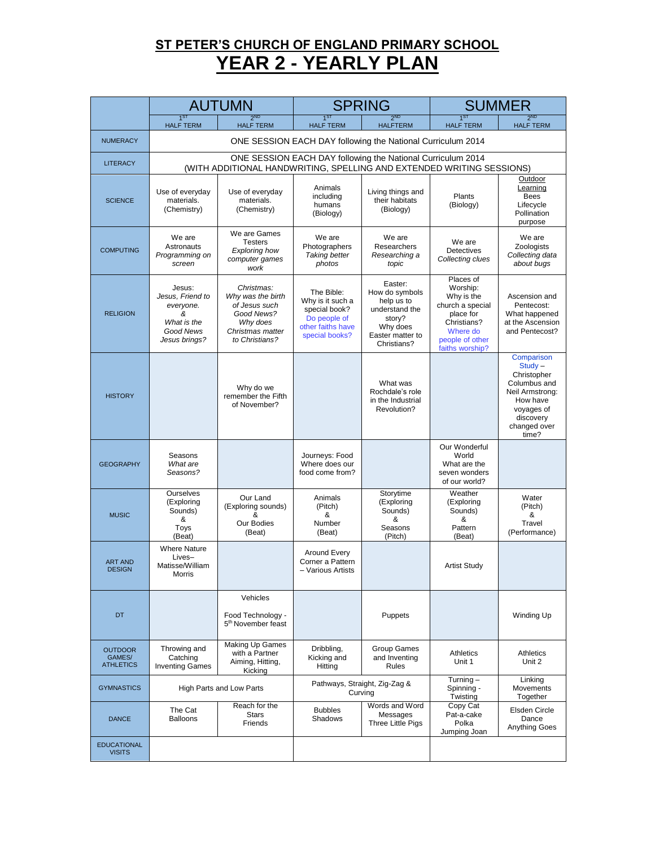### **ST PETER'S CHURCH OF ENGLAND PRIMARY SCHOOL YEAR 2 - YEARLY PLAN**

|                                              | <b>AUTUMN</b>                                                                             |                                                                                                                                      | <b>SPRING</b>                                                                                          |                                                                                                                    | <b>SUMMER</b>                                                                                                                         |                                                                                                                                           |  |
|----------------------------------------------|-------------------------------------------------------------------------------------------|--------------------------------------------------------------------------------------------------------------------------------------|--------------------------------------------------------------------------------------------------------|--------------------------------------------------------------------------------------------------------------------|---------------------------------------------------------------------------------------------------------------------------------------|-------------------------------------------------------------------------------------------------------------------------------------------|--|
|                                              | $1^{51}$<br><b>HALF TERM</b>                                                              | $2^{ND}$<br><b>HALF TERM</b>                                                                                                         | $1^{51}$<br><b>HALF TERM</b>                                                                           | $2^{ND}$<br><b>HALFTERM</b>                                                                                        | <b>HALF TERM</b>                                                                                                                      | $2^{ND}$<br><b>HALF TERM</b>                                                                                                              |  |
| <b>NUMERACY</b>                              | ONE SESSION EACH DAY following the National Curriculum 2014                               |                                                                                                                                      |                                                                                                        |                                                                                                                    |                                                                                                                                       |                                                                                                                                           |  |
| <b>LITERACY</b>                              |                                                                                           | ONE SESSION EACH DAY following the National Curriculum 2014<br>(WITH ADDITIONAL HANDWRITING, SPELLING AND EXTENDED WRITING SESSIONS) |                                                                                                        |                                                                                                                    |                                                                                                                                       |                                                                                                                                           |  |
| <b>SCIENCE</b>                               | Use of everyday<br>materials.<br>(Chemistry)                                              | Use of everyday<br>materials.<br>(Chemistry)                                                                                         | Animals<br>including<br>humans<br>(Biology)                                                            | Living things and<br>their habitats<br>(Biology)                                                                   | Plants<br>(Biology)                                                                                                                   | Outdoor<br>Learning<br><b>Bees</b><br>Lifecycle<br>Pollination<br>purpose                                                                 |  |
| <b>COMPUTING</b>                             | We are<br>Astronauts<br>Programming on<br>screen                                          | We are Games<br><b>Testers</b><br><b>Exploring how</b><br>computer games<br>work                                                     | We are<br>Photographers<br><b>Taking better</b><br>photos                                              | We are<br>Researchers<br>Researching a<br>topic                                                                    | We are<br><b>Detectives</b><br>Collecting clues                                                                                       | We are<br>Zoologists<br>Collecting data<br>about bugs                                                                                     |  |
| <b>RELIGION</b>                              | Jesus:<br>Jesus, Friend to<br>everyone.<br>&<br>What is the<br>Good News<br>Jesus brings? | Christmas:<br>Why was the birth<br>of Jesus such<br>Good News?<br>Why does<br>Christmas matter<br>to Christians?                     | The Bible:<br>Why is it such a<br>special book?<br>Do people of<br>other faiths have<br>special books? | Easter:<br>How do symbols<br>help us to<br>understand the<br>story?<br>Why does<br>Easter matter to<br>Christians? | Places of<br>Worship:<br>Why is the<br>church a special<br>place for<br>Christians?<br>Where do<br>people of other<br>faiths worship? | Ascension and<br>Pentecost:<br>What happened<br>at the Ascension<br>and Pentecost?                                                        |  |
| <b>HISTORY</b>                               |                                                                                           | Why do we<br>remember the Fifth<br>of November?                                                                                      |                                                                                                        | What was<br>Rochdale's role<br>in the Industrial<br>Revolution?                                                    |                                                                                                                                       | Comparison<br>$Study -$<br>Christopher<br>Columbus and<br>Neil Armstrong:<br>How have<br>voyages of<br>discovery<br>changed over<br>time? |  |
| <b>GEOGRAPHY</b>                             | Seasons<br>What are<br>Seasons?                                                           |                                                                                                                                      | Journeys: Food<br>Where does our<br>food come from?                                                    |                                                                                                                    | Our Wonderful<br>World<br>What are the<br>seven wonders<br>of our world?                                                              |                                                                                                                                           |  |
| <b>MUSIC</b>                                 | Ourselves<br>(Exploring<br>Sounds)<br>&<br>Toys<br>(Beat)                                 | Our Land<br>(Exploring sounds)<br>&<br>Our Bodies<br>(Beat)                                                                          | Animals<br>(Pitch)<br>&<br>Number<br>(Beat)                                                            | Storytime<br>(Exploring<br>Sounds)<br>&<br>Seasons<br>(Pitch)                                                      | Weather<br>(Exploring<br>Sounds)<br>&<br>Pattern<br>(Beat)                                                                            | Water<br>(Pitch)<br>&<br>Travel<br>(Performance)                                                                                          |  |
| <b>ART AND</b><br><b>DESIGN</b>              | <b>Where Nature</b><br>Lives-<br>Matisse/William<br>Morris                                |                                                                                                                                      | Around Every<br>Corner a Pattern<br>- Various Artists                                                  |                                                                                                                    | <b>Artist Study</b>                                                                                                                   |                                                                                                                                           |  |
| <b>DT</b>                                    |                                                                                           | Vehicles<br>Food Technology -<br>5 <sup>th</sup> November feast                                                                      |                                                                                                        | Puppets                                                                                                            |                                                                                                                                       | Winding Up                                                                                                                                |  |
| <b>OUTDOOR</b><br>GAMES/<br><b>ATHLETICS</b> | Throwing and<br>Catching<br><b>Inventing Games</b>                                        | Making Up Games<br>with a Partner<br>Aiming, Hitting,<br>Kicking                                                                     | Dribbling,<br>Kicking and<br>Hitting                                                                   | Group Games<br>and Inventing<br><b>Rules</b>                                                                       | Athletics<br>Unit 1                                                                                                                   | Athletics<br>Unit 2                                                                                                                       |  |
| <b>GYMNASTICS</b>                            |                                                                                           | High Parts and Low Parts                                                                                                             |                                                                                                        | Pathways, Straight, Zig-Zag &<br>Curving                                                                           | Turning $-$<br>Spinning -<br>Twisting                                                                                                 | Linking<br>Movements<br>Together                                                                                                          |  |
| <b>DANCE</b>                                 | The Cat<br><b>Balloons</b>                                                                | Reach for the<br><b>Stars</b><br>Friends                                                                                             | <b>Bubbles</b><br>Shadows                                                                              | Words and Word<br>Messages<br>Three Little Pigs                                                                    | Copy Cat<br>Pat-a-cake<br>Polka<br>Jumping Joan                                                                                       | Elsden Circle<br>Dance<br><b>Anything Goes</b>                                                                                            |  |
| <b>EDUCATIONAL</b><br><b>VISITS</b>          |                                                                                           |                                                                                                                                      |                                                                                                        |                                                                                                                    |                                                                                                                                       |                                                                                                                                           |  |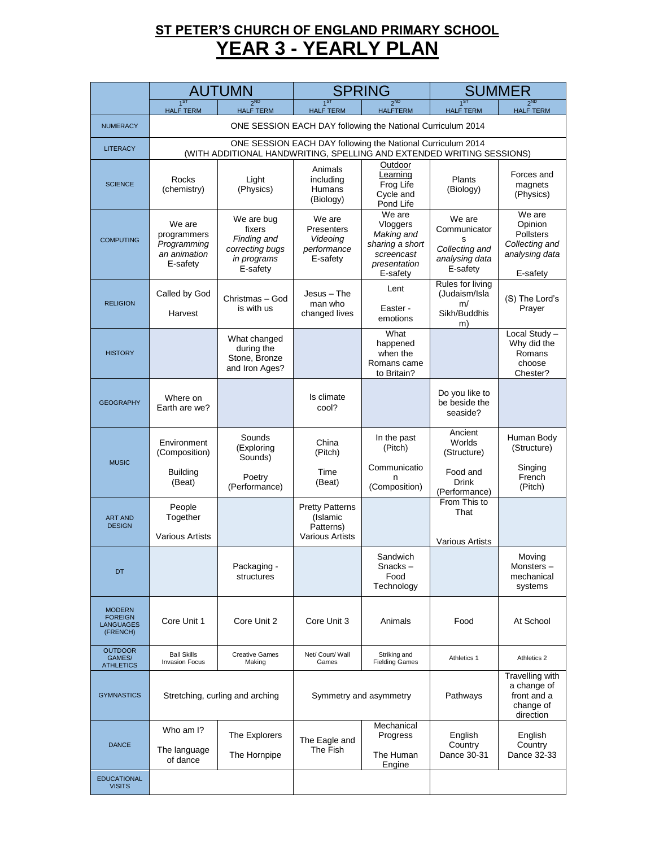# **ST PETER'S CHURCH OF ENGLAND PRIMARY SCHOOL YEAR 3 - YEARLY PLAN**

|                                                                 | <b>AUTUMN</b>                                                                                                                        |                                                                                   | <b>SPRING</b>                                                                       |                                                                                               | <b>SUMMER</b>                                                                   |                                                                                       |  |
|-----------------------------------------------------------------|--------------------------------------------------------------------------------------------------------------------------------------|-----------------------------------------------------------------------------------|-------------------------------------------------------------------------------------|-----------------------------------------------------------------------------------------------|---------------------------------------------------------------------------------|---------------------------------------------------------------------------------------|--|
|                                                                 | $1^{ST}$<br><b>HALF TERM</b>                                                                                                         | 2 <sub>ND</sub><br><b>HALF TERM</b>                                               | $1^{ST}$<br><b>HALF TERM</b>                                                        | <b>2ND</b><br><b>HALFTERM</b>                                                                 | $1^{ST}$<br><b>HALF TERM</b>                                                    | 2 <sup>ND</sup><br><b>HALF TERM</b>                                                   |  |
| <b>NUMERACY</b>                                                 | ONE SESSION EACH DAY following the National Curriculum 2014                                                                          |                                                                                   |                                                                                     |                                                                                               |                                                                                 |                                                                                       |  |
| <b>LITERACY</b>                                                 | ONE SESSION EACH DAY following the National Curriculum 2014<br>(WITH ADDITIONAL HANDWRITING, SPELLING AND EXTENDED WRITING SESSIONS) |                                                                                   |                                                                                     |                                                                                               |                                                                                 |                                                                                       |  |
| <b>SCIENCE</b>                                                  | Rocks<br>(chemistry)                                                                                                                 | Light<br>(Physics)                                                                | Animals<br>including<br>Humans<br>(Biology)                                         | Outdoor<br>Learning<br>Frog Life<br>Cycle and<br>Pond Life                                    | Plants<br>(Biology)                                                             | Forces and<br>magnets<br>(Physics)                                                    |  |
| <b>COMPUTING</b>                                                | We are<br>programmers<br>Programming<br>an animation<br>E-safety                                                                     | We are bug<br>fixers<br>Finding and<br>correcting bugs<br>in programs<br>E-safety | We are<br>Presenters<br>Videoing<br>performance<br>E-safety                         | We are<br>Vloggers<br>Making and<br>sharing a short<br>screencast<br>presentation<br>E-safety | We are<br>Communicator<br>s<br>Collecting and<br>analysing data<br>E-safety     | We are<br>Opinion<br><b>Pollsters</b><br>Collecting and<br>analysing data<br>E-safety |  |
| <b>RELIGION</b>                                                 | Called by God<br>Harvest                                                                                                             | Christmas - God<br>is with us                                                     | $Jesus - The$<br>man who<br>changed lives                                           | Lent<br>Easter -<br>emotions                                                                  | Rules for living<br>(Judaism/Isla<br>m/<br>Sikh/Buddhis<br>m)                   | (S) The Lord's<br>Prayer                                                              |  |
| <b>HISTORY</b>                                                  |                                                                                                                                      | What changed<br>during the<br>Stone, Bronze<br>and Iron Ages?                     |                                                                                     | What<br>happened<br>when the<br>Romans came<br>to Britain?                                    |                                                                                 | Local Study -<br>Why did the<br>Romans<br>choose<br>Chester?                          |  |
| <b>GEOGRAPHY</b>                                                | Where on<br>Earth are we?                                                                                                            |                                                                                   | Is climate<br>cool?                                                                 |                                                                                               | Do you like to<br>be beside the<br>seaside?                                     |                                                                                       |  |
| <b>MUSIC</b>                                                    | Environment<br>(Composition)<br><b>Building</b>                                                                                      | Sounds<br>(Exploring<br>Sounds)<br>Poetry                                         | China<br>(Pitch)<br>Time                                                            | In the past<br>(Pitch)<br>Communicatio<br>n                                                   | Ancient<br>Worlds<br>(Structure)<br>Food and                                    | Human Body<br>(Structure)<br>Singing<br>French                                        |  |
| <b>ART AND</b><br><b>DESIGN</b>                                 | (Beat)<br>People<br>Together<br><b>Various Artists</b>                                                                               | (Performance)                                                                     | (Beat)<br><b>Pretty Patterns</b><br>(Islamic<br>Patterns)<br><b>Various Artists</b> | (Composition)                                                                                 | <b>Drink</b><br>(Performance)<br>From This to<br>That<br><b>Various Artists</b> | (Pitch)                                                                               |  |
| DT                                                              |                                                                                                                                      | Packaging -<br>structures                                                         |                                                                                     | Sandwich<br>Snacks-<br>Food<br>Technology                                                     |                                                                                 | Movina<br>Monsters-<br>mechanical<br>systems                                          |  |
| <b>MODERN</b><br><b>FOREIGN</b><br><b>LANGUAGES</b><br>(FRENCH) | Core Unit 1                                                                                                                          | Core Unit 2                                                                       | Core Unit 3                                                                         | Animals                                                                                       | Food                                                                            | At School                                                                             |  |
| <b>OUTDOOR</b><br>GAMES/<br><b>ATHLETICS</b>                    | <b>Ball Skills</b><br><b>Invasion Focus</b>                                                                                          | <b>Creative Games</b><br>Making                                                   | Net/ Court/ Wall<br>Games                                                           | Striking and<br><b>Fielding Games</b>                                                         | Athletics 1                                                                     | Athletics 2                                                                           |  |
| <b>GYMNASTICS</b>                                               | Stretching, curling and arching                                                                                                      |                                                                                   |                                                                                     | Symmetry and asymmetry                                                                        | Pathways                                                                        | Travelling with<br>a change of<br>front and a<br>change of<br>direction               |  |
| <b>DANCE</b>                                                    | Who am I?<br>The language<br>of dance                                                                                                | The Explorers<br>The Hornpipe                                                     | The Eagle and<br>The Fish                                                           | Mechanical<br>Progress<br>The Human<br>Engine                                                 | English<br>Country<br>Dance 30-31                                               | English<br>Country<br>Dance 32-33                                                     |  |
| <b>EDUCATIONAL</b><br><b>VISITS</b>                             |                                                                                                                                      |                                                                                   |                                                                                     |                                                                                               |                                                                                 |                                                                                       |  |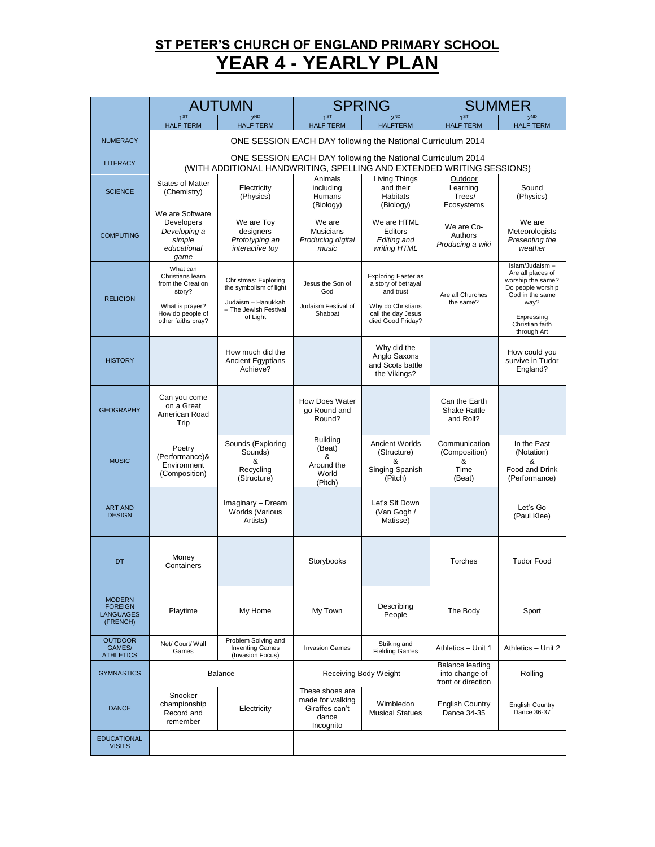### **ST PETER'S CHURCH OF ENGLAND PRIMARY SCHOOL YEAR 4 - YEARLY PLAN**

|                                                                 | <b>AUTUMN</b>                                                                                                            |                                                                                                                                      | <b>SPRING</b>                                                               |                                                                                                                                | <b>SUMMER</b>                                           |                                                                                                                                                          |  |  |
|-----------------------------------------------------------------|--------------------------------------------------------------------------------------------------------------------------|--------------------------------------------------------------------------------------------------------------------------------------|-----------------------------------------------------------------------------|--------------------------------------------------------------------------------------------------------------------------------|---------------------------------------------------------|----------------------------------------------------------------------------------------------------------------------------------------------------------|--|--|
|                                                                 | <b>HALF TERM</b>                                                                                                         | <b>HALF TERM</b>                                                                                                                     | <b>HALF TERM</b>                                                            | $2^{ND}$<br><b>HALFTERM</b>                                                                                                    | <b>HALF TERM</b>                                        | <b>2ND</b><br><b>HALF TERM</b>                                                                                                                           |  |  |
| <b>NUMERACY</b>                                                 |                                                                                                                          | ONE SESSION EACH DAY following the National Curriculum 2014                                                                          |                                                                             |                                                                                                                                |                                                         |                                                                                                                                                          |  |  |
| <b>LITERACY</b>                                                 |                                                                                                                          | ONE SESSION EACH DAY following the National Curriculum 2014<br>(WITH ADDITIONAL HANDWRITING, SPELLING AND EXTENDED WRITING SESSIONS) |                                                                             |                                                                                                                                |                                                         |                                                                                                                                                          |  |  |
| <b>SCIENCE</b>                                                  | <b>States of Matter</b><br>(Chemistry)                                                                                   | Electricity<br>(Physics)                                                                                                             | Animals<br>including<br>Humans<br>(Biology)                                 | Living Things<br>and their<br>Habitats<br>(Biology)                                                                            | Outdoor<br>Learning<br>Trees/<br>Ecosystems             | Sound<br>(Physics)                                                                                                                                       |  |  |
| <b>COMPUTING</b>                                                | We are Software<br>Developers<br>Developing a<br>simple<br>educational<br>game                                           | We are Toy<br>designers<br>Prototyping an<br>interactive toy                                                                         | We are<br><b>Musicians</b><br>Producing digital<br>music                    | We are HTML<br>Editors<br>Editing and<br>writing HTML                                                                          | We are Co-<br>Authors<br>Producing a wiki               | We are<br>Meteorologists<br>Presentina the<br>weather                                                                                                    |  |  |
| <b>RELIGION</b>                                                 | What can<br>Christians learn<br>from the Creation<br>story?<br>What is prayer?<br>How do people of<br>other faiths pray? | Christmas: Exploring<br>the symbolism of light<br>Judaism - Hanukkah<br>- The Jewish Festival<br>of Light                            | Jesus the Son of<br>God<br>Judaism Festival of<br>Shabbat                   | <b>Exploring Easter as</b><br>a story of betrayal<br>and trust<br>Why do Christians<br>call the day Jesus<br>died Good Friday? | Are all Churches<br>the same?                           | Islam/Judaism-<br>Are all places of<br>worship the same?<br>Do people worship<br>God in the same<br>way?<br>Expressing<br>Christian faith<br>through Art |  |  |
| <b>HISTORY</b>                                                  |                                                                                                                          | How much did the<br><b>Ancient Egyptians</b><br>Achieve?                                                                             |                                                                             | Why did the<br>Anglo Saxons<br>and Scots battle<br>the Vikings?                                                                |                                                         | How could you<br>survive in Tudor<br>England?                                                                                                            |  |  |
| <b>GEOGRAPHY</b>                                                | Can you come<br>on a Great<br>American Road<br>Trip                                                                      |                                                                                                                                      | How Does Water<br>go Round and<br>Round?                                    |                                                                                                                                | Can the Earth<br><b>Shake Rattle</b><br>and Roll?       |                                                                                                                                                          |  |  |
| <b>MUSIC</b>                                                    | Poetry<br>(Performance)&<br>Environment<br>(Composition)                                                                 | Sounds (Exploring<br>Sounds)<br>&<br>Recycling<br>(Structure)                                                                        | <b>Building</b><br>(Beat)<br>&<br>Around the<br>World<br>(Pitch)            | Ancient Worlds<br>(Structure)<br>&<br>Singing Spanish<br>(Pitch)                                                               | Communication<br>(Composition)<br>&<br>Time<br>(Beat)   | In the Past<br>(Notation)<br>&<br>Food and Drink<br>(Performance)                                                                                        |  |  |
| <b>ART AND</b><br><b>DESIGN</b>                                 |                                                                                                                          | Imaginary - Dream<br>Worlds (Various<br>Artists)                                                                                     |                                                                             | Let's Sit Down<br>(Van Gogh /<br>Matisse)                                                                                      |                                                         | Let's Go<br>(Paul Klee)                                                                                                                                  |  |  |
| DT                                                              | Money<br>Containers                                                                                                      |                                                                                                                                      | Storybooks                                                                  |                                                                                                                                | Torches                                                 | <b>Tudor Food</b>                                                                                                                                        |  |  |
| <b>MODERN</b><br><b>FOREIGN</b><br><b>LANGUAGES</b><br>(FRENCH) | Playtime                                                                                                                 | My Home                                                                                                                              | My Town                                                                     | Describing<br>People                                                                                                           | The Body                                                | Sport                                                                                                                                                    |  |  |
| <b>OUTDOOR</b><br>GAMES/<br><b>ATHLETICS</b>                    | Net/ Court/ Wall<br>Games                                                                                                | Problem Solving and<br><b>Inventing Games</b><br>(Invasion Focus)                                                                    | <b>Invasion Games</b>                                                       | Striking and<br><b>Fielding Games</b>                                                                                          | Athletics - Unit 1                                      | Athletics - Unit 2                                                                                                                                       |  |  |
| <b>GYMNASTICS</b>                                               |                                                                                                                          | Balance                                                                                                                              |                                                                             | Receiving Body Weight                                                                                                          | Balance leading<br>into change of<br>front or direction | Rolling                                                                                                                                                  |  |  |
| <b>DANCE</b>                                                    | Snooker<br>championship<br>Record and<br>remember                                                                        | Electricity                                                                                                                          | These shoes are<br>made for walking<br>Giraffes can't<br>dance<br>Incognito | Wimbledon<br><b>Musical Statues</b>                                                                                            | <b>English Country</b><br>Dance 34-35                   | <b>English Country</b><br>Dance 36-37                                                                                                                    |  |  |
| <b>EDUCATIONAL</b><br><b>VISITS</b>                             |                                                                                                                          |                                                                                                                                      |                                                                             |                                                                                                                                |                                                         |                                                                                                                                                          |  |  |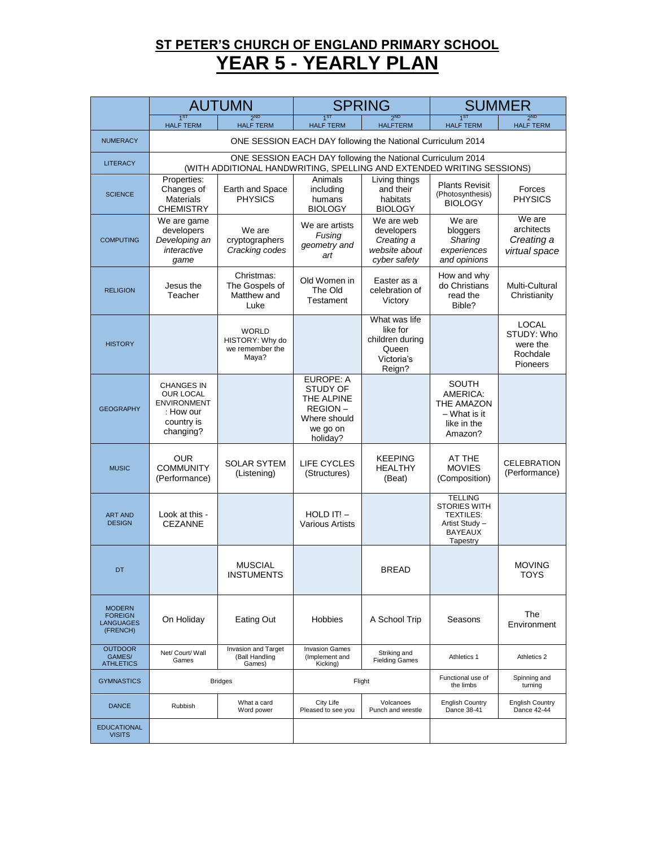# **ST PETER'S CHURCH OF ENGLAND PRIMARY SCHOOL YEAR 5 - YEARLY PLAN**

|                                                                 | <b>AUTUMN</b>                                                                                       |                                                                                                                                      | <b>SPRING</b>                                                                          |                                                                               | <b>SUMMER</b>                                                                                             |                                                                |  |  |
|-----------------------------------------------------------------|-----------------------------------------------------------------------------------------------------|--------------------------------------------------------------------------------------------------------------------------------------|----------------------------------------------------------------------------------------|-------------------------------------------------------------------------------|-----------------------------------------------------------------------------------------------------------|----------------------------------------------------------------|--|--|
|                                                                 | $1^{51}$<br><b>HALF TERM</b>                                                                        | <b>2ND</b><br><b>HALF TERM</b>                                                                                                       | $1^{SI}$<br><b>HALF TERM</b>                                                           | ጋ <sup>ND</sup><br><b>HALFTERM</b>                                            | <b>HALF TERM</b>                                                                                          | $2^{ND}$<br><b>HALF TERM</b>                                   |  |  |
| <b>NUMERACY</b>                                                 |                                                                                                     | ONE SESSION EACH DAY following the National Curriculum 2014                                                                          |                                                                                        |                                                                               |                                                                                                           |                                                                |  |  |
| <b>LITERACY</b>                                                 |                                                                                                     | ONE SESSION EACH DAY following the National Curriculum 2014<br>(WITH ADDITIONAL HANDWRITING, SPELLING AND EXTENDED WRITING SESSIONS) |                                                                                        |                                                                               |                                                                                                           |                                                                |  |  |
| <b>SCIENCE</b>                                                  | Properties:<br>Changes of<br><b>Materials</b><br><b>CHEMISTRY</b>                                   | Earth and Space<br><b>PHYSICS</b>                                                                                                    | Animals<br>including<br>humans<br><b>BIOLOGY</b>                                       | Living things<br>and their<br>habitats<br><b>BIOLOGY</b>                      | <b>Plants Revisit</b><br>(Photosynthesis)<br><b>BIOLOGY</b>                                               | Forces<br><b>PHYSICS</b>                                       |  |  |
| <b>COMPUTING</b>                                                | We are game<br>developers<br>Developing an<br>interactive<br>game                                   | We are<br>cryptographers<br>Cracking codes                                                                                           | We are artists<br>Fusing<br>geometry and<br>art                                        | We are web<br>developers<br>Creating a<br>website about<br>cyber safety       | We are<br>bloggers<br>Sharing<br>experiences<br>and opinions                                              | We are<br>architects<br>Creating a<br>virtual space            |  |  |
| <b>RELIGION</b>                                                 | Jesus the<br>Teacher                                                                                | Christmas:<br>The Gospels of<br>Matthew and<br>Luke                                                                                  | Old Women in<br>The Old<br>Testament                                                   | Easter as a<br>celebration of<br>Victory                                      | How and why<br>do Christians<br>read the<br>Bible?                                                        | Multi-Cultural<br>Christianity                                 |  |  |
| <b>HISTORY</b>                                                  |                                                                                                     | <b>WORLD</b><br>HISTORY: Why do<br>we remember the<br>Maya?                                                                          |                                                                                        | What was life<br>like for<br>children during<br>Queen<br>Victoria's<br>Reign? |                                                                                                           | LOCAL<br>STUDY: Who<br>were the<br>Rochdale<br><b>Pioneers</b> |  |  |
| <b>GEOGRAPHY</b>                                                | <b>CHANGES IN</b><br><b>OUR LOCAL</b><br><b>ENVIRONMENT</b><br>: How our<br>country is<br>changing? |                                                                                                                                      | EUROPE: A<br>STUDY OF<br>THE ALPINE<br>REGION-<br>Where should<br>we go on<br>holiday? |                                                                               | <b>SOUTH</b><br>AMERICA:<br>THE AMAZON<br>– What is it<br>like in the<br>Amazon?                          |                                                                |  |  |
| <b>MUSIC</b>                                                    | <b>OUR</b><br><b>COMMUNITY</b><br>(Performance)                                                     | <b>SOLAR SYTEM</b><br>(Listening)                                                                                                    | <b>LIFE CYCLES</b><br>(Structures)                                                     | <b>KEEPING</b><br><b>HEALTHY</b><br>(Beat)                                    | AT THE<br><b>MOVIES</b><br>(Composition)                                                                  | <b>CELEBRATION</b><br>(Performance)                            |  |  |
| <b>ART AND</b><br><b>DESIGN</b>                                 | Look at this -<br><b>CEZANNE</b>                                                                    |                                                                                                                                      | $HOLD IT! -$<br><b>Various Artists</b>                                                 |                                                                               | <b>TELLING</b><br><b>STORIES WITH</b><br><b>TEXTILES:</b><br>Artist Study -<br><b>BAYEAUX</b><br>Tapestry |                                                                |  |  |
| DT                                                              |                                                                                                     | <b>MUSCIAL</b><br><b>INSTUMENTS</b>                                                                                                  |                                                                                        | <b>BREAD</b>                                                                  |                                                                                                           | <b>MOVING</b><br><b>TOYS</b>                                   |  |  |
| <b>MODERN</b><br><b>FOREIGN</b><br><b>LANGUAGES</b><br>(FRENCH) | On Holiday                                                                                          | Eating Out                                                                                                                           | Hobbies                                                                                | A School Trip                                                                 | Seasons                                                                                                   | The<br>Environment                                             |  |  |
| <b>OUTDOOR</b><br>GAMES/<br><b>ATHLETICS</b>                    | Net/ Court/ Wall<br>Games                                                                           | Invasion and Target<br>(Ball Handling<br>Games)                                                                                      | <b>Invasion Games</b><br>(Implement and<br>Kicking)                                    | Striking and<br><b>Fielding Games</b>                                         | Athletics 1                                                                                               | Athletics 2                                                    |  |  |
| <b>GYMNASTICS</b>                                               |                                                                                                     | <b>Bridges</b>                                                                                                                       |                                                                                        | Flight                                                                        | Functional use of<br>the limbs                                                                            | Spinning and<br>turning                                        |  |  |
| <b>DANCE</b>                                                    | Rubbish                                                                                             | What a card<br>Word power                                                                                                            | City Life<br>Pleased to see you                                                        | Volcanoes<br>Punch and wrestle                                                | <b>English Country</b><br>Dance 38-41                                                                     | <b>English Country</b><br>Dance 42-44                          |  |  |
| <b>EDUCATIONAL</b><br><b>VISITS</b>                             |                                                                                                     |                                                                                                                                      |                                                                                        |                                                                               |                                                                                                           |                                                                |  |  |